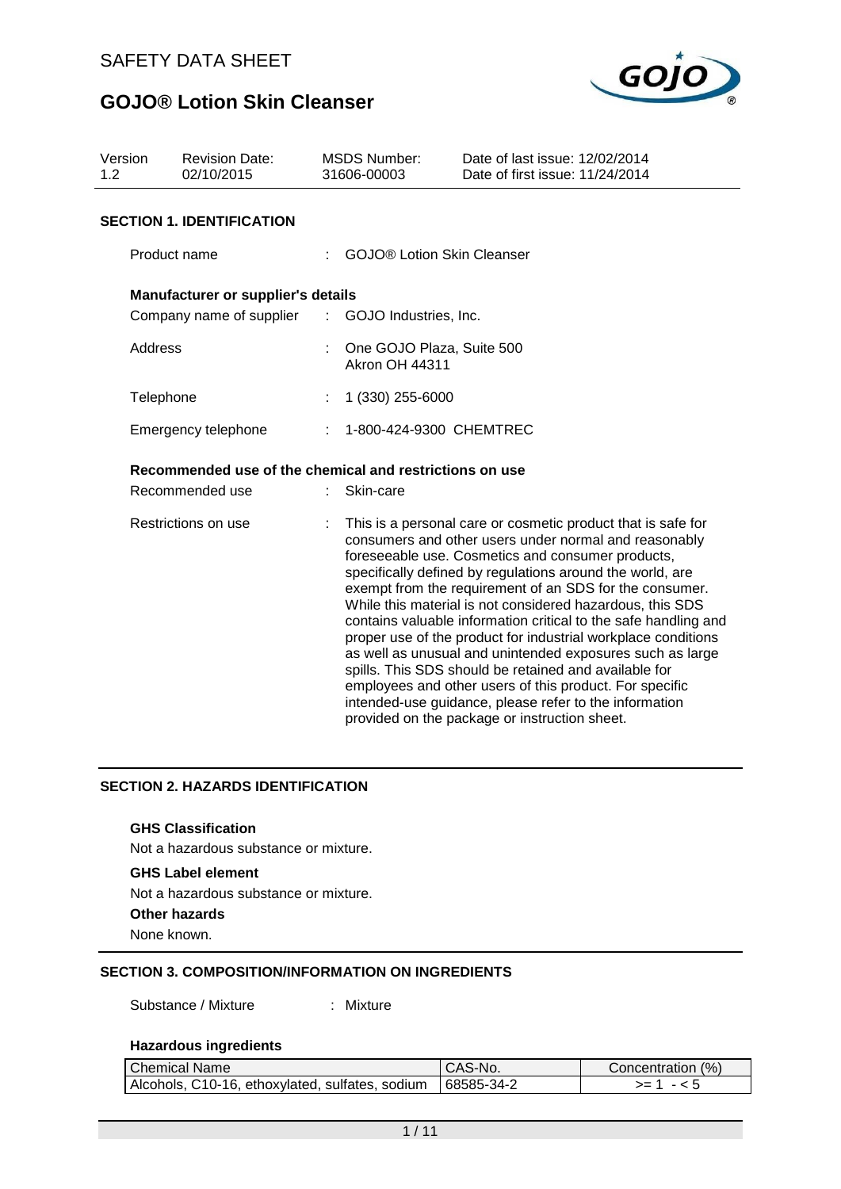

| Version<br>1.2      | <b>Revision Date:</b><br>02/10/2015                     | <b>MSDS Number:</b><br>31606-00003 | Date of last issue: 12/02/2014<br>Date of first issue: 11/24/2014                                                                                                                                                                                                                                                                                                                                                                                                                                                                                                                                                                                                                                                                                                                               |
|---------------------|---------------------------------------------------------|------------------------------------|-------------------------------------------------------------------------------------------------------------------------------------------------------------------------------------------------------------------------------------------------------------------------------------------------------------------------------------------------------------------------------------------------------------------------------------------------------------------------------------------------------------------------------------------------------------------------------------------------------------------------------------------------------------------------------------------------------------------------------------------------------------------------------------------------|
|                     | <b>SECTION 1. IDENTIFICATION</b>                        |                                    |                                                                                                                                                                                                                                                                                                                                                                                                                                                                                                                                                                                                                                                                                                                                                                                                 |
|                     | Product name                                            |                                    | <b>GOJO® Lotion Skin Cleanser</b>                                                                                                                                                                                                                                                                                                                                                                                                                                                                                                                                                                                                                                                                                                                                                               |
|                     | <b>Manufacturer or supplier's details</b>               |                                    |                                                                                                                                                                                                                                                                                                                                                                                                                                                                                                                                                                                                                                                                                                                                                                                                 |
|                     | Company name of supplier : GOJO Industries, Inc.        |                                    |                                                                                                                                                                                                                                                                                                                                                                                                                                                                                                                                                                                                                                                                                                                                                                                                 |
|                     | Address                                                 | <b>Akron OH 44311</b>              | : One GOJO Plaza, Suite 500                                                                                                                                                                                                                                                                                                                                                                                                                                                                                                                                                                                                                                                                                                                                                                     |
|                     | Telephone                                               | 1 (330) 255-6000                   |                                                                                                                                                                                                                                                                                                                                                                                                                                                                                                                                                                                                                                                                                                                                                                                                 |
| Emergency telephone |                                                         |                                    | : 1-800-424-9300 CHEMTREC                                                                                                                                                                                                                                                                                                                                                                                                                                                                                                                                                                                                                                                                                                                                                                       |
|                     | Recommended use of the chemical and restrictions on use |                                    |                                                                                                                                                                                                                                                                                                                                                                                                                                                                                                                                                                                                                                                                                                                                                                                                 |
|                     | Recommended use                                         | Skin-care                          |                                                                                                                                                                                                                                                                                                                                                                                                                                                                                                                                                                                                                                                                                                                                                                                                 |
|                     | Restrictions on use                                     |                                    | This is a personal care or cosmetic product that is safe for<br>consumers and other users under normal and reasonably<br>foreseeable use. Cosmetics and consumer products,<br>specifically defined by regulations around the world, are<br>exempt from the requirement of an SDS for the consumer.<br>While this material is not considered hazardous, this SDS<br>contains valuable information critical to the safe handling and<br>proper use of the product for industrial workplace conditions<br>as well as unusual and unintended exposures such as large<br>spills. This SDS should be retained and available for<br>employees and other users of this product. For specific<br>intended-use guidance, please refer to the information<br>provided on the package or instruction sheet. |

# **SECTION 2. HAZARDS IDENTIFICATION**

#### **GHS Classification**

Not a hazardous substance or mixture.

### **GHS Label element**

Not a hazardous substance or mixture.

**Other hazards**

None known.

## **SECTION 3. COMPOSITION/INFORMATION ON INGREDIENTS**

Substance / Mixture : Mixture

#### **Hazardous ingredients**

| <b>Chemical Name</b>                                         | CAS-No. | Concentration (%) |
|--------------------------------------------------------------|---------|-------------------|
| Alcohols, C10-16, ethoxylated, sulfates, sodium   68585-34-2 |         | >= ′              |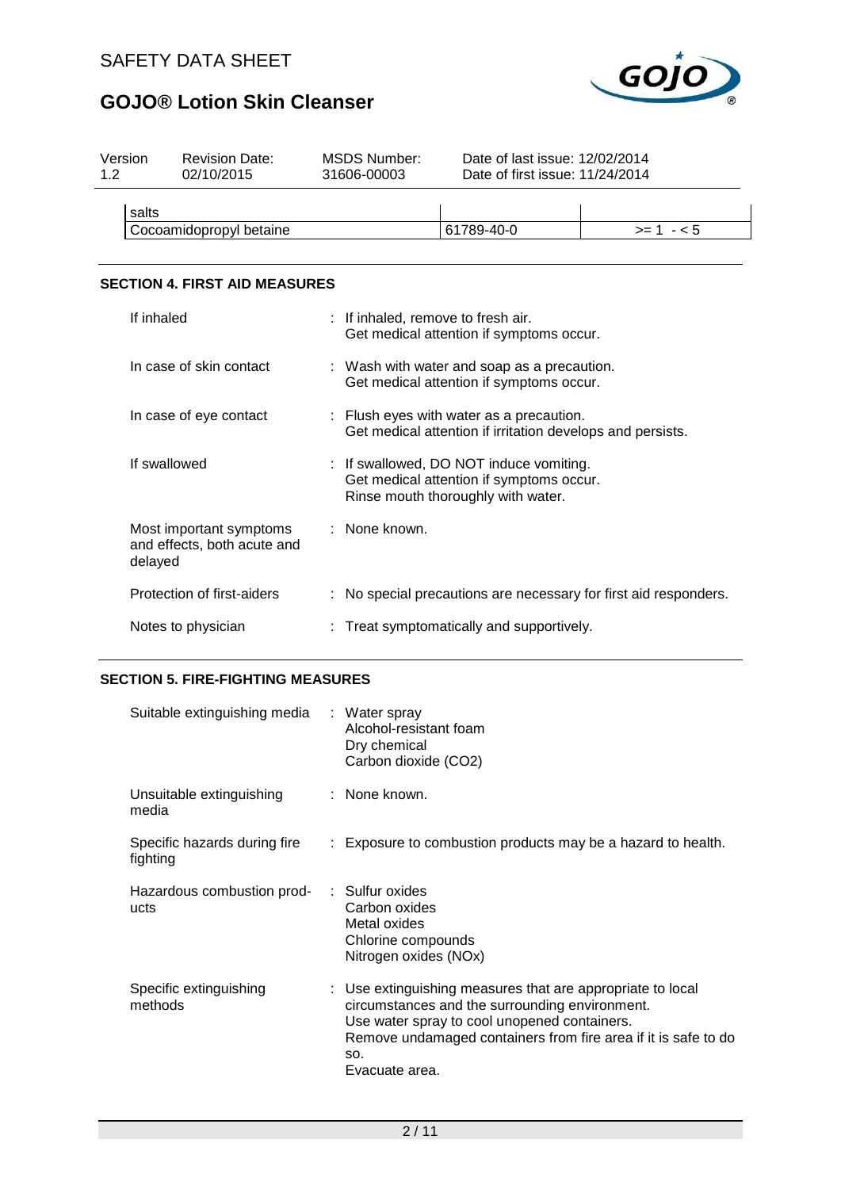

| Version<br>1.2 | <b>Revision Date:</b><br>02/10/2015 | MSDS Number:<br>31606-00003 | Date of last issue: 12/02/2014<br>Date of first issue: 11/24/2014 |            |
|----------------|-------------------------------------|-----------------------------|-------------------------------------------------------------------|------------|
| salts          |                                     |                             |                                                                   |            |
|                | Cocoamidopropyl betaine             |                             | 61789-40-0                                                        | $>= 1 - 5$ |
|                |                                     |                             |                                                                   |            |

## **SECTION 4. FIRST AID MEASURES**

| If inhaled                                                        | : If inhaled, remove to fresh air.<br>Get medical attention if symptoms occur.                                            |
|-------------------------------------------------------------------|---------------------------------------------------------------------------------------------------------------------------|
| In case of skin contact                                           | : Wash with water and soap as a precaution.<br>Get medical attention if symptoms occur.                                   |
| In case of eye contact                                            | : Flush eyes with water as a precaution.<br>Get medical attention if irritation develops and persists.                    |
| If swallowed                                                      | : If swallowed, DO NOT induce vomiting.<br>Get medical attention if symptoms occur.<br>Rinse mouth thoroughly with water. |
| Most important symptoms<br>and effects, both acute and<br>delayed | : None known.                                                                                                             |
| Protection of first-aiders                                        | : No special precautions are necessary for first aid responders.                                                          |
| Notes to physician                                                | : Treat symptomatically and supportively.                                                                                 |

## **SECTION 5. FIRE-FIGHTING MEASURES**

| Suitable extinguishing media : Water spray      | Alcohol-resistant foam<br>Dry chemical<br>Carbon dioxide (CO2)                                                                                                                                                                                          |
|-------------------------------------------------|---------------------------------------------------------------------------------------------------------------------------------------------------------------------------------------------------------------------------------------------------------|
| Unsuitable extinguishing : None known.<br>media |                                                                                                                                                                                                                                                         |
| Specific hazards during fire<br>fighting        | : Exposure to combustion products may be a hazard to health.                                                                                                                                                                                            |
| Hazardous combustion prod-<br>ucts              | : Sulfur oxides<br>Carbon oxides<br>Metal oxides<br>Chlorine compounds<br>Nitrogen oxides (NOx)                                                                                                                                                         |
| Specific extinguishing<br>methods               | : Use extinguishing measures that are appropriate to local<br>circumstances and the surrounding environment.<br>Use water spray to cool unopened containers.<br>Remove undamaged containers from fire area if it is safe to do<br>SO.<br>Evacuate area. |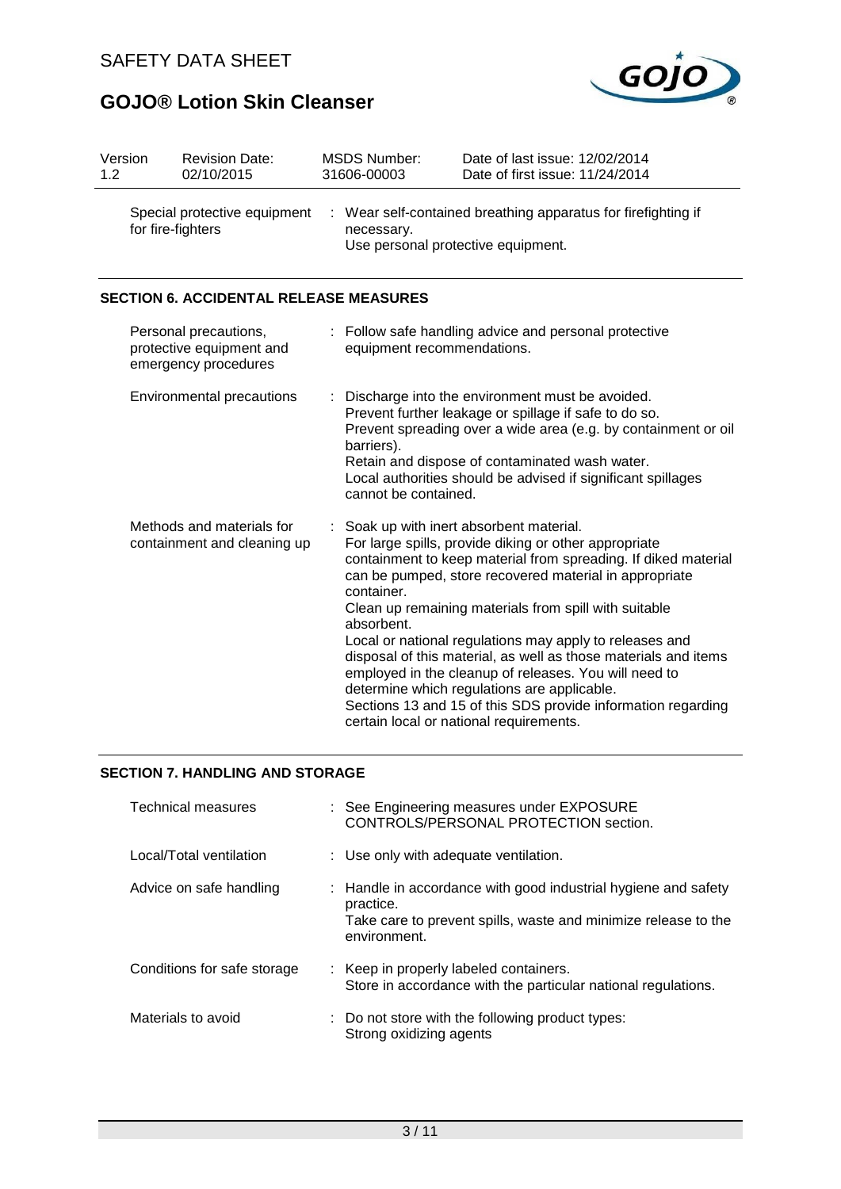

| Version<br>1.2 | <b>Revision Date:</b><br>02/10/2015                                       |    | <b>MSDS Number:</b><br>31606-00003 | Date of last issue: 12/02/2014<br>Date of first issue: 11/24/2014                                                                                                                                                                                                                                                                                                                                                                                                                                                                                                                                                                     |
|----------------|---------------------------------------------------------------------------|----|------------------------------------|---------------------------------------------------------------------------------------------------------------------------------------------------------------------------------------------------------------------------------------------------------------------------------------------------------------------------------------------------------------------------------------------------------------------------------------------------------------------------------------------------------------------------------------------------------------------------------------------------------------------------------------|
|                | Special protective equipment<br>for fire-fighters                         | ÷  | necessary.                         | Wear self-contained breathing apparatus for firefighting if<br>Use personal protective equipment.                                                                                                                                                                                                                                                                                                                                                                                                                                                                                                                                     |
|                | <b>SECTION 6. ACCIDENTAL RELEASE MEASURES</b>                             |    |                                    |                                                                                                                                                                                                                                                                                                                                                                                                                                                                                                                                                                                                                                       |
|                | Personal precautions,<br>protective equipment and<br>emergency procedures |    | equipment recommendations.         | : Follow safe handling advice and personal protective                                                                                                                                                                                                                                                                                                                                                                                                                                                                                                                                                                                 |
|                | <b>Environmental precautions</b>                                          |    | barriers).<br>cannot be contained. | Discharge into the environment must be avoided.<br>Prevent further leakage or spillage if safe to do so.<br>Prevent spreading over a wide area (e.g. by containment or oil<br>Retain and dispose of contaminated wash water.<br>Local authorities should be advised if significant spillages                                                                                                                                                                                                                                                                                                                                          |
|                | Methods and materials for<br>containment and cleaning up                  | ÷. | container.<br>absorbent.           | Soak up with inert absorbent material.<br>For large spills, provide diking or other appropriate<br>containment to keep material from spreading. If diked material<br>can be pumped, store recovered material in appropriate<br>Clean up remaining materials from spill with suitable<br>Local or national regulations may apply to releases and<br>disposal of this material, as well as those materials and items<br>employed in the cleanup of releases. You will need to<br>determine which regulations are applicable.<br>Sections 13 and 15 of this SDS provide information regarding<br>certain local or national requirements. |

### **SECTION 7. HANDLING AND STORAGE**

| Technical measures          | : See Engineering measures under EXPOSURE<br>CONTROLS/PERSONAL PROTECTION section.                                                                            |
|-----------------------------|---------------------------------------------------------------------------------------------------------------------------------------------------------------|
| Local/Total ventilation     | : Use only with adequate ventilation.                                                                                                                         |
| Advice on safe handling     | : Handle in accordance with good industrial hygiene and safety<br>practice.<br>Take care to prevent spills, waste and minimize release to the<br>environment. |
| Conditions for safe storage | : Keep in properly labeled containers.<br>Store in accordance with the particular national regulations.                                                       |
| Materials to avoid          | : Do not store with the following product types:<br>Strong oxidizing agents                                                                                   |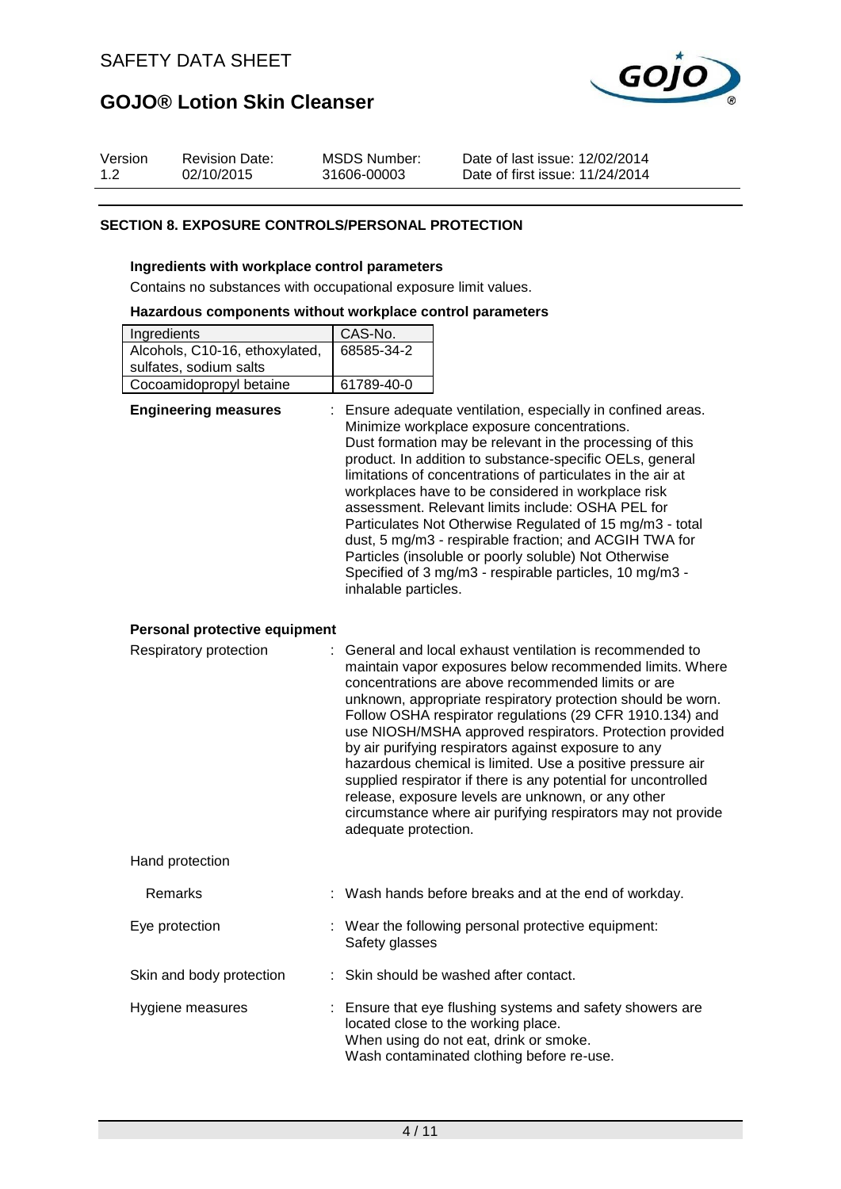

| Version | <b>Revision Date:</b> | MSDS Number: | Date of last issue: 12/02/2014  |
|---------|-----------------------|--------------|---------------------------------|
| 1.2     | 02/10/2015            | 31606-00003  | Date of first issue: 11/24/2014 |

### **SECTION 8. EXPOSURE CONTROLS/PERSONAL PROTECTION**

#### **Ingredients with workplace control parameters**

Contains no substances with occupational exposure limit values.

#### **Hazardous components without workplace control parameters**

| Ingredients                    | CAS-No.    |
|--------------------------------|------------|
| Alcohols, C10-16, ethoxylated, | 68585-34-2 |
| sulfates, sodium salts         |            |
| Cocoamidopropyl betaine        | 61789-40-0 |

| <b>Engineering measures</b> | : Ensure adequate ventilation, especially in confined areas.<br>Minimize workplace exposure concentrations.<br>Dust formation may be relevant in the processing of this<br>product. In addition to substance-specific OELs, general<br>limitations of concentrations of particulates in the air at<br>workplaces have to be considered in workplace risk<br>assessment. Relevant limits include: OSHA PEL for<br>Particulates Not Otherwise Regulated of 15 mg/m3 - total<br>dust, 5 mg/m3 - respirable fraction; and ACGIH TWA for<br>Particles (insoluble or poorly soluble) Not Otherwise<br>Specified of 3 mg/m3 - respirable particles, 10 mg/m3 -<br>inhalable particles. |
|-----------------------------|---------------------------------------------------------------------------------------------------------------------------------------------------------------------------------------------------------------------------------------------------------------------------------------------------------------------------------------------------------------------------------------------------------------------------------------------------------------------------------------------------------------------------------------------------------------------------------------------------------------------------------------------------------------------------------|
|                             |                                                                                                                                                                                                                                                                                                                                                                                                                                                                                                                                                                                                                                                                                 |

### **Personal protective equipment**

| Respiratory protection   | : General and local exhaust ventilation is recommended to<br>maintain vapor exposures below recommended limits. Where<br>concentrations are above recommended limits or are<br>unknown, appropriate respiratory protection should be worn.<br>Follow OSHA respirator regulations (29 CFR 1910.134) and<br>use NIOSH/MSHA approved respirators. Protection provided<br>by air purifying respirators against exposure to any<br>hazardous chemical is limited. Use a positive pressure air<br>supplied respirator if there is any potential for uncontrolled<br>release, exposure levels are unknown, or any other<br>circumstance where air purifying respirators may not provide<br>adequate protection. |
|--------------------------|----------------------------------------------------------------------------------------------------------------------------------------------------------------------------------------------------------------------------------------------------------------------------------------------------------------------------------------------------------------------------------------------------------------------------------------------------------------------------------------------------------------------------------------------------------------------------------------------------------------------------------------------------------------------------------------------------------|
| Hand protection          |                                                                                                                                                                                                                                                                                                                                                                                                                                                                                                                                                                                                                                                                                                          |
| <b>Remarks</b>           | : Wash hands before breaks and at the end of workday.                                                                                                                                                                                                                                                                                                                                                                                                                                                                                                                                                                                                                                                    |
| Eye protection           | : Wear the following personal protective equipment:<br>Safety glasses                                                                                                                                                                                                                                                                                                                                                                                                                                                                                                                                                                                                                                    |
| Skin and body protection | : Skin should be washed after contact.                                                                                                                                                                                                                                                                                                                                                                                                                                                                                                                                                                                                                                                                   |
| Hygiene measures         | : Ensure that eye flushing systems and safety showers are<br>located close to the working place.<br>When using do not eat, drink or smoke.                                                                                                                                                                                                                                                                                                                                                                                                                                                                                                                                                               |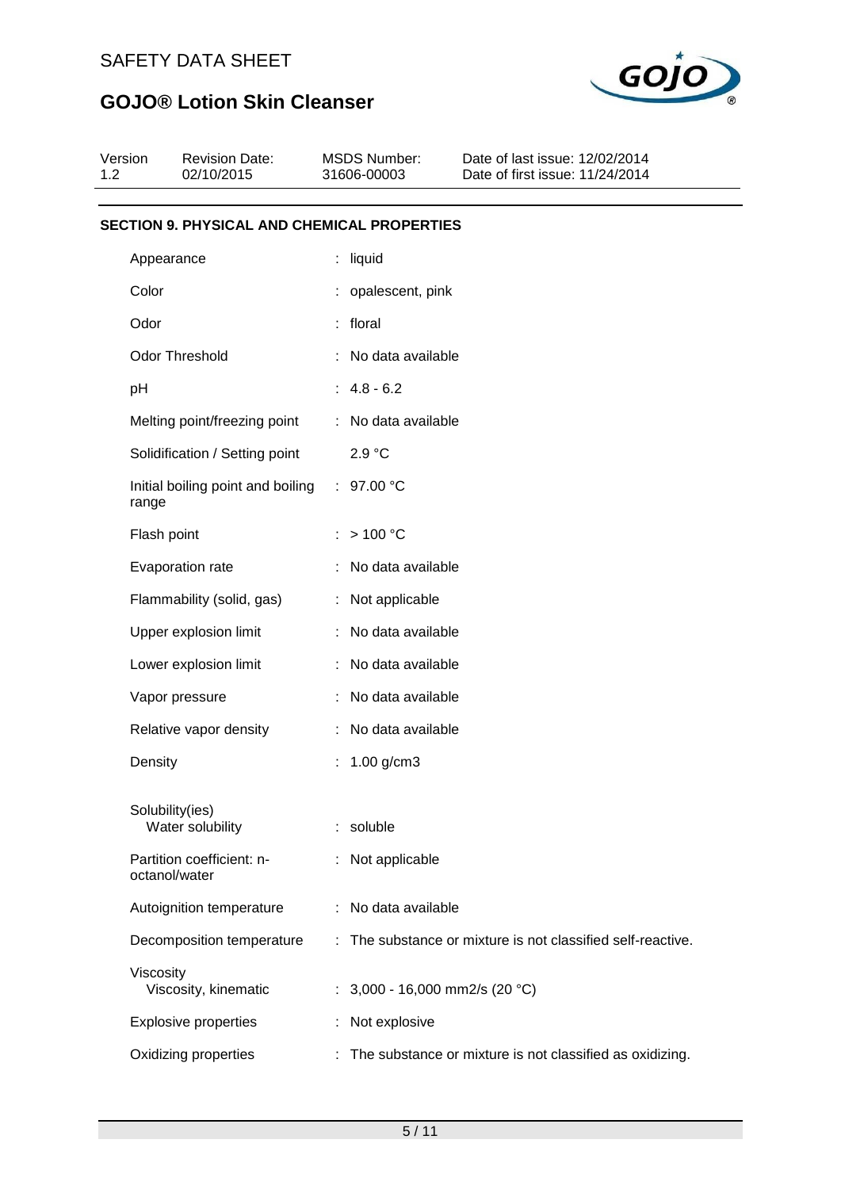

| Version<br>1.2 | <b>Revision Date:</b><br>02/10/2015                | <b>MSDS Number:</b><br>31606-00003 | Date of last issue: 12/02/2014<br>Date of first issue: 11/24/2014 |  |  |  |  |
|----------------|----------------------------------------------------|------------------------------------|-------------------------------------------------------------------|--|--|--|--|
|                | <b>SECTION 9. PHYSICAL AND CHEMICAL PROPERTIES</b> |                                    |                                                                   |  |  |  |  |
|                | Appearance                                         | liquid                             |                                                                   |  |  |  |  |
| Color          |                                                    | : opalescent, pink                 |                                                                   |  |  |  |  |
| Odor           |                                                    | : floral                           |                                                                   |  |  |  |  |
|                | Odor Threshold                                     | No data available                  |                                                                   |  |  |  |  |
| pH             |                                                    | $: 4.8 - 6.2$                      |                                                                   |  |  |  |  |
|                | Melting point/freezing point                       | : No data available                |                                                                   |  |  |  |  |
|                | Solidification / Setting point                     | 2.9 °C                             |                                                                   |  |  |  |  |
|                | Initial boiling point and boiling<br>range         | : $97.00 °C$                       |                                                                   |  |  |  |  |
|                | Flash point                                        | >100 °C<br>÷.                      |                                                                   |  |  |  |  |
|                | Evaporation rate                                   | No data available                  |                                                                   |  |  |  |  |
|                | Flammability (solid, gas)                          | : Not applicable                   |                                                                   |  |  |  |  |
|                | Upper explosion limit                              | : No data available                |                                                                   |  |  |  |  |
|                | Lower explosion limit                              | : No data available                |                                                                   |  |  |  |  |
|                | Vapor pressure                                     | : No data available                |                                                                   |  |  |  |  |
|                | Relative vapor density                             | : No data available                |                                                                   |  |  |  |  |
|                | Density                                            | 1.00 g/cm3                         |                                                                   |  |  |  |  |
|                | Solubility(ies)<br>Water solubility                | soluble<br>÷.                      |                                                                   |  |  |  |  |
|                | Partition coefficient: n-<br>octanol/water         | Not applicable                     |                                                                   |  |  |  |  |
|                | Autoignition temperature                           | : No data available                |                                                                   |  |  |  |  |
|                | Decomposition temperature                          | ÷.                                 | The substance or mixture is not classified self-reactive.         |  |  |  |  |
|                | Viscosity<br>Viscosity, kinematic                  |                                    | : $3,000 - 16,000$ mm2/s (20 °C)                                  |  |  |  |  |
|                | <b>Explosive properties</b>                        | Not explosive                      |                                                                   |  |  |  |  |
|                | Oxidizing properties                               |                                    | : The substance or mixture is not classified as oxidizing.        |  |  |  |  |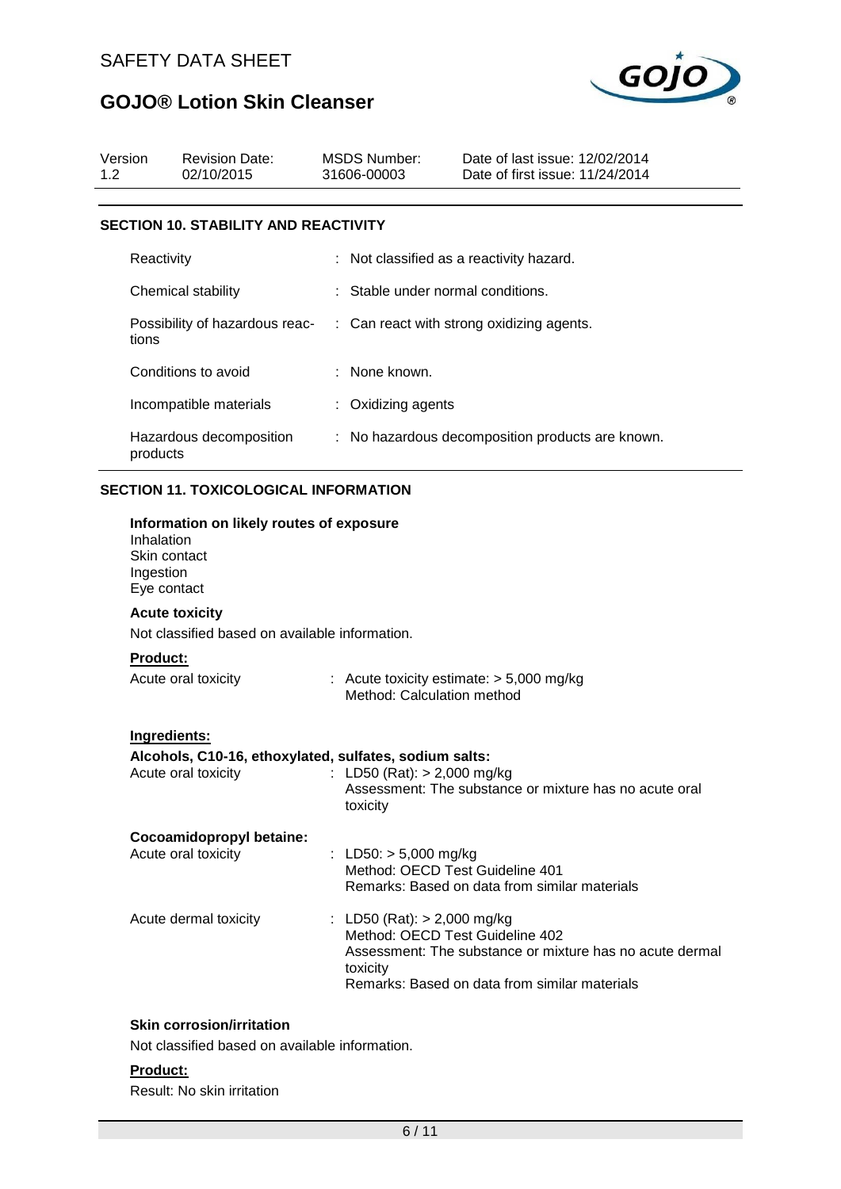

| Version<br>1.2 | <b>Revision Date:</b><br>02/10/2015                                                           | <b>MSDS Number:</b><br>31606-00003        | Date of last issue: 12/02/2014<br>Date of first issue: 11/24/2014                           |
|----------------|-----------------------------------------------------------------------------------------------|-------------------------------------------|---------------------------------------------------------------------------------------------|
|                | <b>SECTION 10. STABILITY AND REACTIVITY</b>                                                   |                                           |                                                                                             |
|                | Reactivity                                                                                    |                                           | Not classified as a reactivity hazard.                                                      |
|                | Chemical stability                                                                            |                                           | Stable under normal conditions.                                                             |
| tions          | Possibility of hazardous reac-                                                                |                                           | : Can react with strong oxidizing agents.                                                   |
|                | Conditions to avoid                                                                           | : None known.                             |                                                                                             |
|                | Incompatible materials                                                                        | Oxidizing agents                          |                                                                                             |
| products       | Hazardous decomposition                                                                       |                                           | : No hazardous decomposition products are known.                                            |
|                | <b>SECTION 11. TOXICOLOGICAL INFORMATION</b>                                                  |                                           |                                                                                             |
| Ingestion      | Information on likely routes of exposure<br>Inhalation<br>Skin contact<br>Eye contact         |                                           |                                                                                             |
|                | <b>Acute toxicity</b>                                                                         |                                           |                                                                                             |
|                | Not classified based on available information.                                                |                                           |                                                                                             |
| Product:       | Acute oral toxicity                                                                           | Method: Calculation method                | : Acute toxicity estimate: $> 5,000$ mg/kg                                                  |
|                | Ingredients:<br>Alcohols, C10-16, ethoxylated, sulfates, sodium salts:<br>Acute oral toxicity | : LD50 (Rat): $> 2,000$ mg/kg<br>toxicity | Assessment: The substance or mixture has no acute oral                                      |
|                | Cocoamidopropyl betaine:<br>Acute oral toxicity                                               | : LD50: $> 5,000$ mg/kg                   | Method: OECD Test Guideline 401<br>Remarks: Based on data from similar materials            |
|                | Acute dermal toxicity                                                                         | : LD50 (Rat): $> 2,000$ mg/kg             | Method: OECD Test Guideline 402<br>Assessment: The substance or mixture has no acute dermal |

### **Skin corrosion/irritation**

Not classified based on available information.

#### **Product:**

Result: No skin irritation

Remarks: Based on data from similar materials

toxicity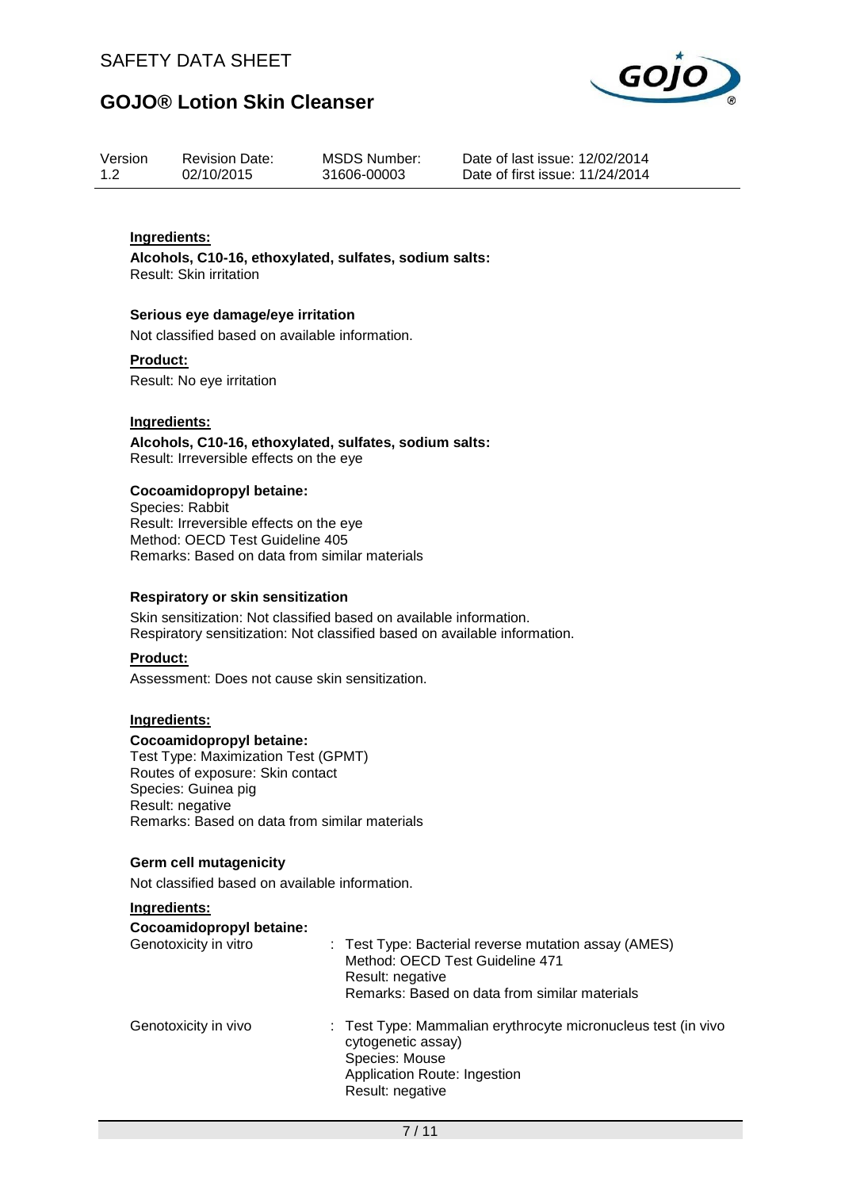

| Version | <b>Revision Date:</b> | <b>MSDS Number:</b> |
|---------|-----------------------|---------------------|
| 1.2     | 02/10/2015            | 31606-00003         |

Date of last issue: 12/02/2014 Date of first issue: 11/24/2014

### **Ingredients:**

**Alcohols, C10-16, ethoxylated, sulfates, sodium salts:** Result: Skin irritation

#### **Serious eye damage/eye irritation**

Not classified based on available information.

#### **Product:**

Result: No eye irritation

### **Ingredients:**

**Alcohols, C10-16, ethoxylated, sulfates, sodium salts:** Result: Irreversible effects on the eye

#### **Cocoamidopropyl betaine:**

Species: Rabbit Result: Irreversible effects on the eye Method: OECD Test Guideline 405 Remarks: Based on data from similar materials

#### **Respiratory or skin sensitization**

Skin sensitization: Not classified based on available information. Respiratory sensitization: Not classified based on available information.

### **Product:**

Assessment: Does not cause skin sensitization.

### **Ingredients:**

#### **Cocoamidopropyl betaine:**

Test Type: Maximization Test (GPMT) Routes of exposure: Skin contact Species: Guinea pig Result: negative Remarks: Based on data from similar materials

### **Germ cell mutagenicity**

Not classified based on available information.

### **Ingredients:**

#### **Cocoamidopropyl betaine:**

| Genotoxicity in vitro | : Test Type: Bacterial reverse mutation assay (AMES)<br>Method: OECD Test Guideline 471<br>Result: negative<br>Remarks: Based on data from similar materials |
|-----------------------|--------------------------------------------------------------------------------------------------------------------------------------------------------------|
| Genotoxicity in vivo  | : Test Type: Mammalian erythrocyte micronucleus test (in vivo<br>cytogenetic assay)<br>Species: Mouse<br>Application Route: Ingestion<br>Result: negative    |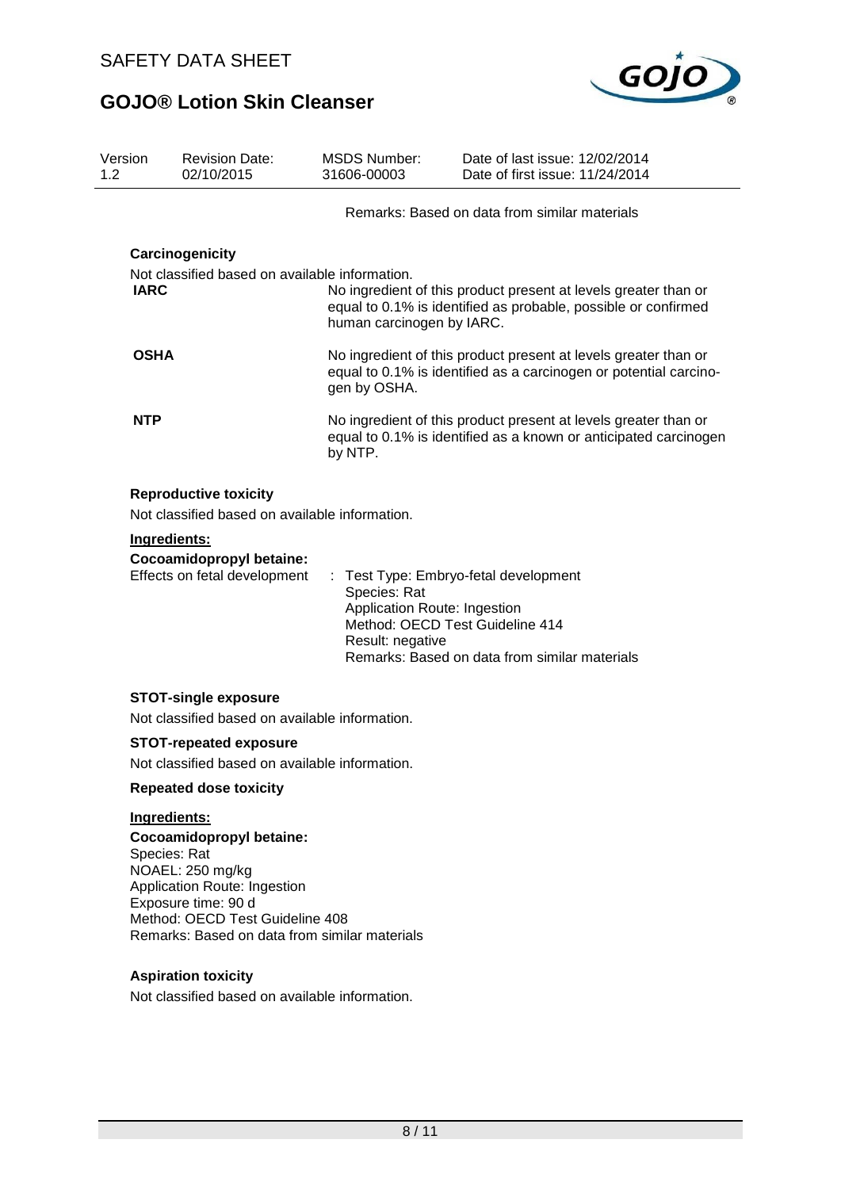

| Version<br>1.2 | <b>Revision Date:</b><br>02/10/2015                                                                                        | <b>MSDS Number:</b><br>31606-00003                               | Date of last issue: 12/02/2014<br>Date of first issue: 11/24/2014                                                                    |  |  |
|----------------|----------------------------------------------------------------------------------------------------------------------------|------------------------------------------------------------------|--------------------------------------------------------------------------------------------------------------------------------------|--|--|
|                |                                                                                                                            |                                                                  | Remarks: Based on data from similar materials                                                                                        |  |  |
|                | Carcinogenicity                                                                                                            |                                                                  |                                                                                                                                      |  |  |
| <b>IARC</b>    | Not classified based on available information.                                                                             | human carcinogen by IARC.                                        | No ingredient of this product present at levels greater than or<br>equal to 0.1% is identified as probable, possible or confirmed    |  |  |
| <b>OSHA</b>    |                                                                                                                            | gen by OSHA.                                                     | No ingredient of this product present at levels greater than or<br>equal to 0.1% is identified as a carcinogen or potential carcino- |  |  |
| <b>NTP</b>     |                                                                                                                            | by NTP.                                                          | No ingredient of this product present at levels greater than or<br>equal to 0.1% is identified as a known or anticipated carcinogen  |  |  |
|                | <b>Reproductive toxicity</b><br>Not classified based on available information.                                             |                                                                  |                                                                                                                                      |  |  |
|                | Ingredients:                                                                                                               |                                                                  |                                                                                                                                      |  |  |
|                | Cocoamidopropyl betaine:<br>Effects on fetal development                                                                   | Species: Rat<br>Application Route: Ingestion<br>Result: negative | Test Type: Embryo-fetal development<br>Method: OECD Test Guideline 414<br>Remarks: Based on data from similar materials              |  |  |
|                | <b>STOT-single exposure</b><br>Not classified based on available information.                                              |                                                                  |                                                                                                                                      |  |  |
|                | <b>STOT-repeated exposure</b><br>Not classified based on available information.                                            |                                                                  |                                                                                                                                      |  |  |
|                | <b>Repeated dose toxicity</b>                                                                                              |                                                                  |                                                                                                                                      |  |  |
|                | Ingredients:<br><b>Cocoamidopropyl betaine:</b><br>Species: Rat<br>NOAEL: 250 mg/kg<br><b>Application Route: Ingestion</b> |                                                                  |                                                                                                                                      |  |  |

Application Route: Ingestion Exposure time: 90 d Method: OECD Test Guideline 408 Remarks: Based on data from similar materials

## **Aspiration toxicity**

Not classified based on available information.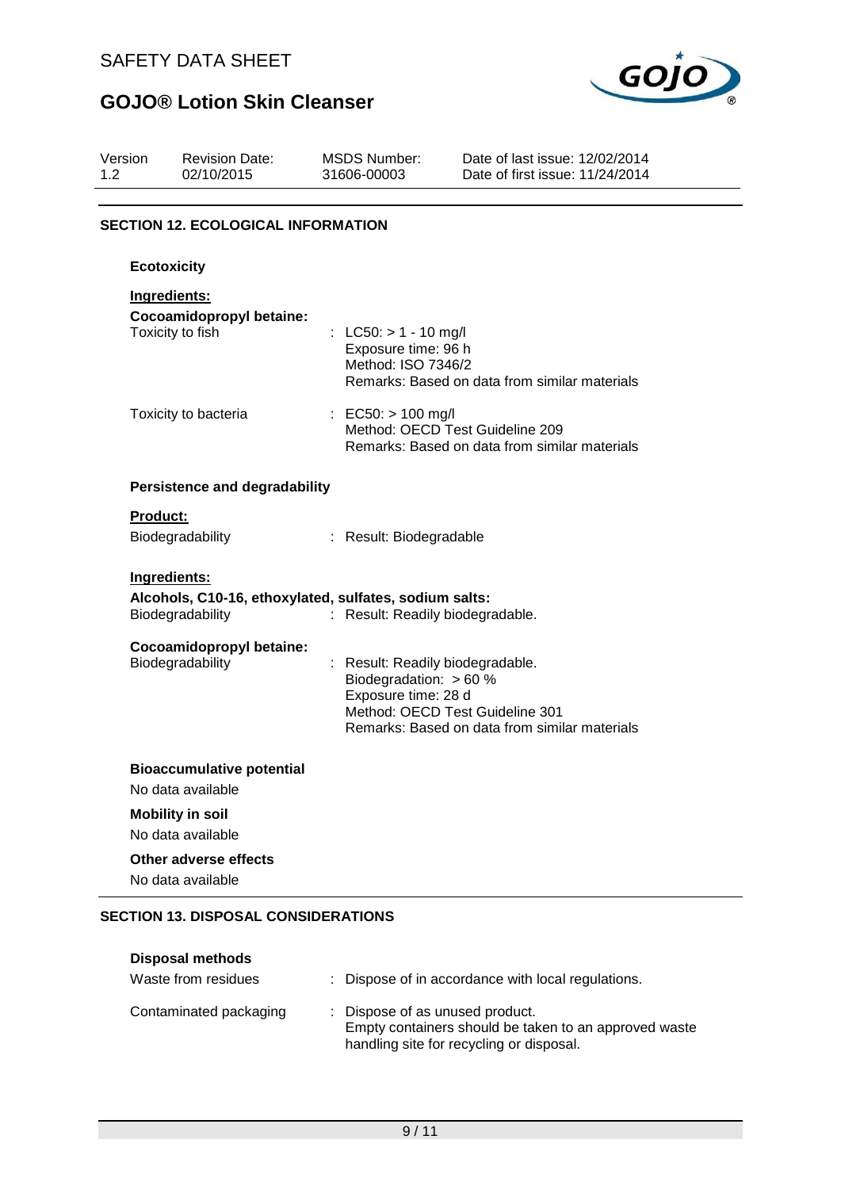

| Version<br>1.2  | <b>Revision Date:</b><br>02/10/2015          | <b>MSDS Number:</b><br>31606-00003                                                         | Date of last issue: 12/02/2014<br>Date of first issue: 11/24/2014                |
|-----------------|----------------------------------------------|--------------------------------------------------------------------------------------------|----------------------------------------------------------------------------------|
|                 | <b>SECTION 12. ECOLOGICAL INFORMATION</b>    |                                                                                            |                                                                                  |
|                 | <b>Ecotoxicity</b>                           |                                                                                            |                                                                                  |
|                 | Ingredients:                                 |                                                                                            |                                                                                  |
|                 | Cocoamidopropyl betaine:<br>Toxicity to fish | : LC50: $> 1 - 10$ mg/l<br>Exposure time: 96 h<br>Method: ISO 7346/2                       | Remarks: Based on data from similar materials                                    |
|                 | Toxicity to bacteria                         | : EC50: $> 100$ mg/l                                                                       | Method: OECD Test Guideline 209<br>Remarks: Based on data from similar materials |
|                 | <b>Persistence and degradability</b>         |                                                                                            |                                                                                  |
| <b>Product:</b> |                                              |                                                                                            |                                                                                  |
|                 | Biodegradability                             | : Result: Biodegradable                                                                    |                                                                                  |
|                 | Ingredients:                                 |                                                                                            |                                                                                  |
|                 | Biodegradability                             | Alcohols, C10-16, ethoxylated, sulfates, sodium salts:<br>: Result: Readily biodegradable. |                                                                                  |
|                 | Cocoamidopropyl betaine:<br>Biodegradability | : Result: Readily biodegradable.<br>Biodegradation: > 60 %<br>Exposure time: 28 d          | Method: OECD Test Guideline 301<br>Remarks: Based on data from similar materials |
|                 | <b>Bioaccumulative potential</b>             |                                                                                            |                                                                                  |
|                 | No data available                            |                                                                                            |                                                                                  |
|                 | <b>Mobility in soil</b><br>No data available |                                                                                            |                                                                                  |
|                 | Other adverse effects<br>No data available   |                                                                                            |                                                                                  |

## **SECTION 13. DISPOSAL CONSIDERATIONS**

| <b>Disposal methods</b><br>Waste from residues | : Dispose of in accordance with local regulations.                                                                                   |
|------------------------------------------------|--------------------------------------------------------------------------------------------------------------------------------------|
| Contaminated packaging                         | : Dispose of as unused product.<br>Empty containers should be taken to an approved waste<br>handling site for recycling or disposal. |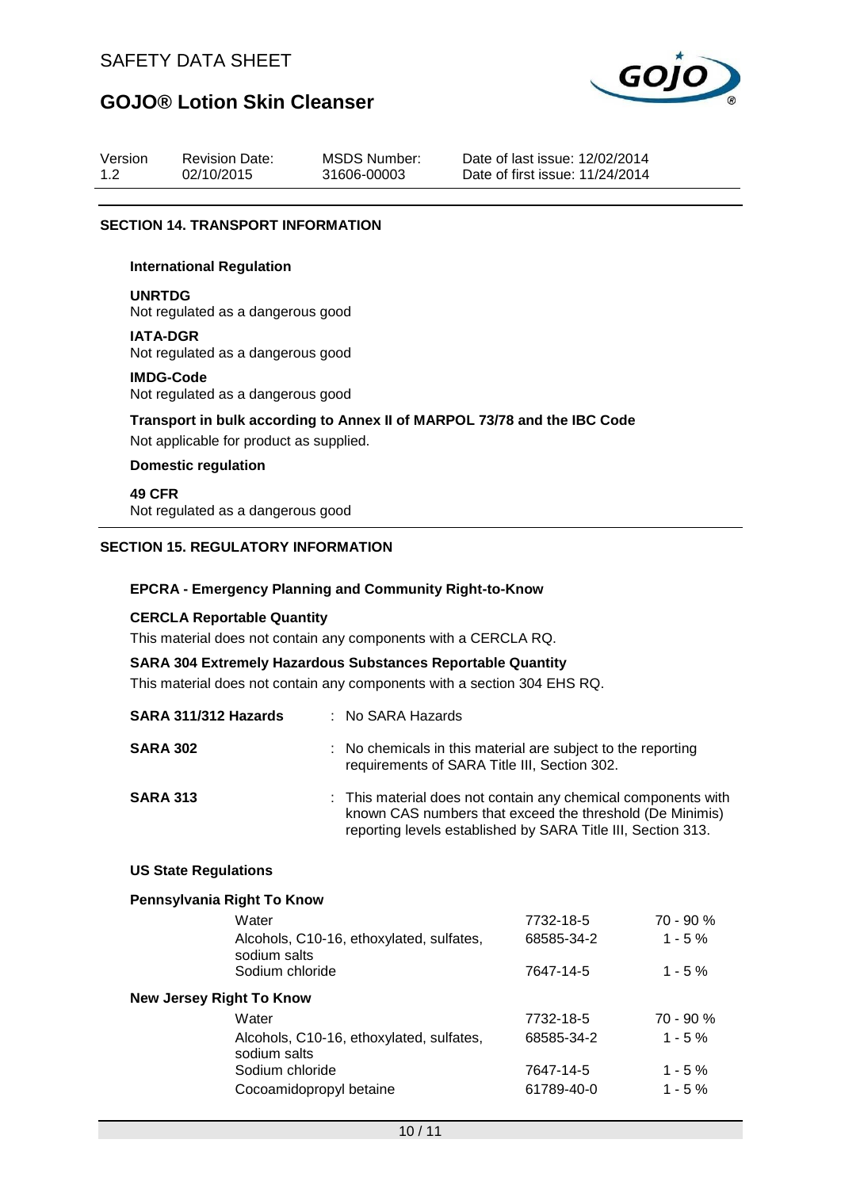

| Version | <b>Revision Date:</b> | <b>MSDS Number:</b> | Date of last issue: 12/02/2014  |
|---------|-----------------------|---------------------|---------------------------------|
| 1.2     | 02/10/2015            | 31606-00003         | Date of first issue: 11/24/2014 |

### **SECTION 14. TRANSPORT INFORMATION**

#### **International Regulation**

# **UNRTDG**

Not regulated as a dangerous good

**IATA-DGR**

Not regulated as a dangerous good

#### **IMDG-Code**

Not regulated as a dangerous good

**Transport in bulk according to Annex II of MARPOL 73/78 and the IBC Code**

Not applicable for product as supplied.

# **Domestic regulation**

**49 CFR** Not regulated as a dangerous good

### **SECTION 15. REGULATORY INFORMATION**

#### **EPCRA - Emergency Planning and Community Right-to-Know**

### **CERCLA Reportable Quantity**

This material does not contain any components with a CERCLA RQ.

### **SARA 304 Extremely Hazardous Substances Reportable Quantity**

This material does not contain any components with a section 304 EHS RQ.

| SARA 311/312 Hazards | : No SARA Hazards                                                                                                                                                                         |
|----------------------|-------------------------------------------------------------------------------------------------------------------------------------------------------------------------------------------|
| <b>SARA 302</b>      | : No chemicals in this material are subject to the reporting<br>requirements of SARA Title III, Section 302.                                                                              |
| <b>SARA 313</b>      | : This material does not contain any chemical components with<br>known CAS numbers that exceed the threshold (De Minimis)<br>reporting levels established by SARA Title III, Section 313. |

#### **US State Regulations**

#### **Pennsylvania Right To Know**

| 7732-18-5  | 70 - 90 %   |
|------------|-------------|
| 68585-34-2 | $1 - 5%$    |
| 7647-14-5  | $1 - 5 \%$  |
|            |             |
| 7732-18-5  | $70 - 90 %$ |
| 68585-34-2 | $1 - 5%$    |
| 7647-14-5  | $1 - 5\%$   |
| 61789-40-0 | $1 - 5\%$   |
|            |             |